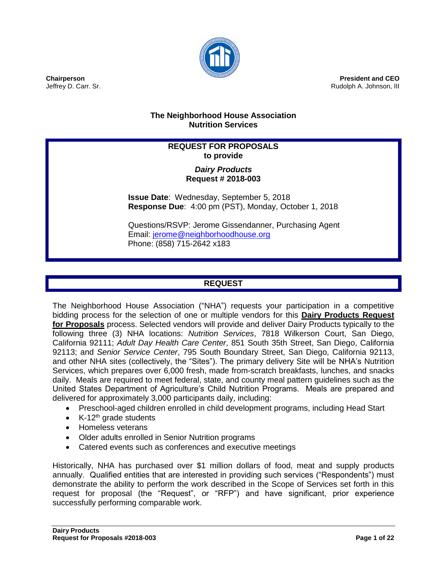

**President and CEO** Rudolph A. Johnson, III

## **The Neighborhood House Association Nutrition Services**

# **REQUEST FOR PROPOSALS to provide**

## *Dairy Products* **Request # 2018-003**

**Issue Date**: Wednesday, September 5, 2018 **Response Due**: 4:00 pm (PST), Monday, October 1, 2018

Questions/RSVP: Jerome Gissendanner, Purchasing Agent Email: [jerome@neighborhoodhouse.org](mailto:jerome@neighborhoodhouse.org) Phone: (858) 715-2642 x183

# **REQUEST**

The Neighborhood House Association ("NHA") requests your participation in a competitive bidding process for the selection of one or multiple vendors for this **Dairy Products Request for Proposals** process. Selected vendors will provide and deliver Dairy Products typically to the following three (3) NHA locations: *Nutrition Services*, 7818 Wilkerson Court, San Diego, California 92111; *Adult Day Health Care Center*, 851 South 35th Street, San Diego, California 92113; and *Senior Service Center*, 795 South Boundary Street, San Diego, California 92113, and other NHA sites (collectively, the "Sites"). The primary delivery Site will be NHA's Nutrition Services, which prepares over 6,000 fresh, made from-scratch breakfasts, lunches, and snacks daily. Meals are required to meet federal, state, and county meal pattern guidelines such as the United States Department of Agriculture's Child Nutrition Programs. Meals are prepared and delivered for approximately 3,000 participants daily, including:

- Preschool-aged children enrolled in child development programs, including Head Start
- $\bullet$  K-12<sup>th</sup> grade students
- Homeless veterans
- Older adults enrolled in Senior Nutrition programs
- Catered events such as conferences and executive meetings

Historically, NHA has purchased over \$1 million dollars of food, meat and supply products annually. Qualified entities that are interested in providing such services ("Respondents") must demonstrate the ability to perform the work described in the Scope of Services set forth in this request for proposal (the "Request", or "RFP") and have significant, prior experience successfully performing comparable work.

**Chairperson** Jeffrey D. Carr. Sr.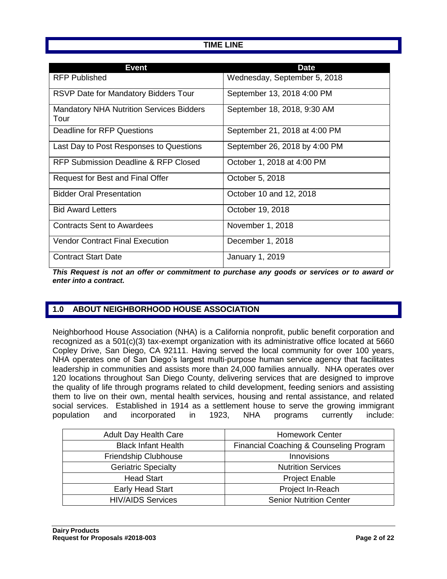## **TIME LINE**

| <b>Event</b>                                            | <b>Date</b>                   |
|---------------------------------------------------------|-------------------------------|
| <b>RFP Published</b>                                    | Wednesday, September 5, 2018  |
| <b>RSVP Date for Mandatory Bidders Tour</b>             | September 13, 2018 4:00 PM    |
| <b>Mandatory NHA Nutrition Services Bidders</b><br>Tour | September 18, 2018, 9:30 AM   |
| Deadline for RFP Questions                              | September 21, 2018 at 4:00 PM |
| Last Day to Post Responses to Questions                 | September 26, 2018 by 4:00 PM |
| RFP Submission Deadline & RFP Closed                    | October 1, 2018 at 4:00 PM    |
| Request for Best and Final Offer                        | October 5, 2018               |
| <b>Bidder Oral Presentation</b>                         | October 10 and 12, 2018       |
| <b>Bid Award Letters</b>                                | October 19, 2018              |
| <b>Contracts Sent to Awardees</b>                       | November 1, 2018              |
| <b>Vendor Contract Final Execution</b>                  | December 1, 2018              |
| <b>Contract Start Date</b>                              | January 1, 2019               |

*This Request is not an offer or commitment to purchase any goods or services or to award or enter into a contract.*

# **1.0 ABOUT NEIGHBORHOOD HOUSE ASSOCIATION**

Neighborhood House Association (NHA) is a California nonprofit, public benefit corporation and recognized as a 501(c)(3) tax-exempt organization with its administrative office located at 5660 Copley Drive, San Diego, CA 92111. Having served the local community for over 100 years, NHA operates one of San Diego's largest multi-purpose human service agency that facilitates leadership in communities and assists more than 24,000 families annually. NHA operates over 120 locations throughout San Diego County, delivering services that are designed to improve the quality of life through programs related to child development, feeding seniors and assisting them to live on their own, mental health services, housing and rental assistance, and related social services. Established in 1914 as a settlement house to serve the growing immigrant population and incorporated in 1923, NHA programs currently include:

| <b>Adult Day Health Care</b> | <b>Homework Center</b>                  |
|------------------------------|-----------------------------------------|
| <b>Black Infant Health</b>   | Financial Coaching & Counseling Program |
| Friendship Clubhouse         | Innovisions                             |
| <b>Geriatric Specialty</b>   | <b>Nutrition Services</b>               |
| <b>Head Start</b>            | <b>Project Enable</b>                   |
| <b>Early Head Start</b>      | Project In-Reach                        |
| <b>HIV/AIDS Services</b>     | <b>Senior Nutrition Center</b>          |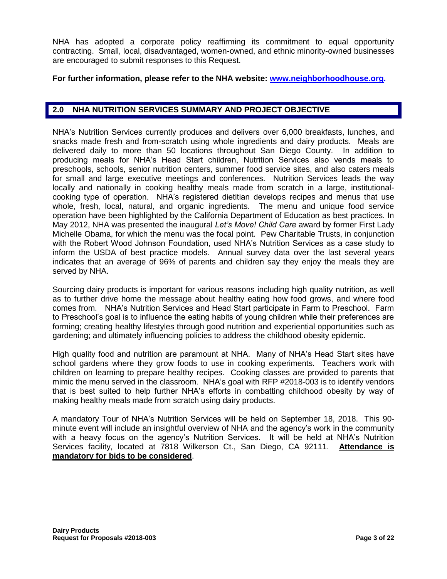NHA has adopted a corporate policy reaffirming its commitment to equal opportunity contracting. Small, local, disadvantaged, women-owned, and ethnic minority-owned businesses are encouraged to submit responses to this Request.

#### **For further information, please refer to the NHA website: [www.neighborhoodhouse.org.](http://www.neighborhoodhouse.org/)**

#### **2.0 NHA NUTRITION SERVICES SUMMARY AND PROJECT OBJECTIVE**

NHA's Nutrition Services currently produces and delivers over 6,000 breakfasts, lunches, and snacks made fresh and from-scratch using whole ingredients and dairy products. Meals are delivered daily to more than 50 locations throughout San Diego County. In addition to producing meals for NHA's Head Start children, Nutrition Services also vends meals to preschools, schools, senior nutrition centers, summer food service sites, and also caters meals for small and large executive meetings and conferences. Nutrition Services leads the way locally and nationally in cooking healthy meals made from scratch in a large, institutionalcooking type of operation. NHA's registered dietitian develops recipes and menus that use whole, fresh, local, natural, and organic ingredients. The menu and unique food service operation have been highlighted by the California Department of Education as best practices. In May 2012, NHA was presented the inaugural *Let's Move! Child Care* award by former First Lady Michelle Obama, for which the menu was the focal point. Pew Charitable Trusts, in conjunction with the Robert Wood Johnson Foundation, used NHA's Nutrition Services as a case study to inform the USDA of best practice models. Annual survey data over the last several years indicates that an average of 96% of parents and children say they enjoy the meals they are served by NHA.

Sourcing dairy products is important for various reasons including high quality nutrition, as well as to further drive home the message about healthy eating how food grows, and where food comes from. NHA's Nutrition Services and Head Start participate in Farm to Preschool. Farm to Preschool's goal is to influence the eating habits of young children while their preferences are forming; creating healthy lifestyles through good nutrition and experiential opportunities such as gardening; and ultimately influencing policies to address the childhood obesity epidemic.

High quality food and nutrition are paramount at NHA. Many of NHA's Head Start sites have school gardens where they grow foods to use in cooking experiments. Teachers work with children on learning to prepare healthy recipes. Cooking classes are provided to parents that mimic the menu served in the classroom. NHA's goal with RFP #2018-003 is to identify vendors that is best suited to help further NHA's efforts in combatting childhood obesity by way of making healthy meals made from scratch using dairy products.

A mandatory Tour of NHA's Nutrition Services will be held on September 18, 2018. This 90 minute event will include an insightful overview of NHA and the agency's work in the community with a heavy focus on the agency's Nutrition Services. It will be held at NHA's Nutrition Services facility, located at 7818 Wilkerson Ct., San Diego, CA 92111. **Attendance is mandatory for bids to be considered**.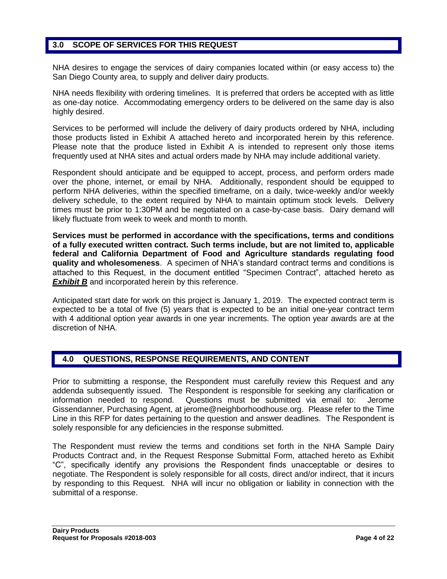# **3.0 SCOPE OF SERVICES FOR THIS REQUEST**

NHA desires to engage the services of dairy companies located within (or easy access to) the San Diego County area, to supply and deliver dairy products.

NHA needs flexibility with ordering timelines. It is preferred that orders be accepted with as little as one-day notice. Accommodating emergency orders to be delivered on the same day is also highly desired.

Services to be performed will include the delivery of dairy products ordered by NHA, including those products listed in Exhibit A attached hereto and incorporated herein by this reference. Please note that the produce listed in Exhibit A is intended to represent only those items frequently used at NHA sites and actual orders made by NHA may include additional variety.

Respondent should anticipate and be equipped to accept, process, and perform orders made over the phone, internet, or email by NHA. Additionally, respondent should be equipped to perform NHA deliveries, within the specified timeframe, on a daily, twice-weekly and/or weekly delivery schedule, to the extent required by NHA to maintain optimum stock levels. Delivery times must be prior to 1:30PM and be negotiated on a case-by-case basis. Dairy demand will likely fluctuate from week to week and month to month.

**Services must be performed in accordance with the specifications, terms and conditions of a fully executed written contract. Such terms include, but are not limited to, applicable federal and California Department of Food and Agriculture standards regulating food quality and wholesomeness**. A specimen of NHA's standard contract terms and conditions is attached to this Request, in the document entitled "Specimen Contract", attached hereto as **Exhibit B** and incorporated herein by this reference.

Anticipated start date for work on this project is January 1, 2019. The expected contract term is expected to be a total of five (5) years that is expected to be an initial one-year contract term with 4 additional option year awards in one year increments. The option year awards are at the discretion of NHA.

#### **4.0 QUESTIONS, RESPONSE REQUIREMENTS, AND CONTENT**

Prior to submitting a response, the Respondent must carefully review this Request and any addenda subsequently issued. The Respondent is responsible for seeking any clarification or information needed to respond. Questions must be submitted via email to: Jerome Gissendanner, Purchasing Agent, at [jerome@neighborhoodhouse.org.](mailto:jerome@neighborhoodhouse.org) Please refer to the Time Line in this RFP for dates pertaining to the question and answer deadlines. The Respondent is solely responsible for any deficiencies in the response submitted.

The Respondent must review the terms and conditions set forth in the NHA Sample Dairy Products Contract and, in the Request Response Submittal Form, attached hereto as Exhibit "C", specifically identify any provisions the Respondent finds unacceptable or desires to negotiate. The Respondent is solely responsible for all costs, direct and/or indirect, that it incurs by responding to this Request. NHA will incur no obligation or liability in connection with the submittal of a response.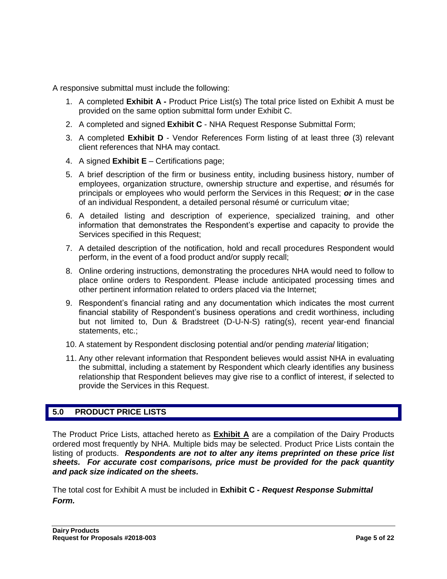A responsive submittal must include the following:

- 1. A completed **Exhibit A -** Product Price List(s) The total price listed on Exhibit A must be provided on the same option submittal form under Exhibit C.
- 2. A completed and signed **Exhibit C** NHA Request Response Submittal Form;
- 3. A completed **Exhibit D** Vendor References Form listing of at least three (3) relevant client references that NHA may contact.
- 4. A signed **Exhibit E** Certifications page;
- 5. A brief description of the firm or business entity, including business history, number of employees, organization structure, ownership structure and expertise, and résumés for principals or employees who would perform the Services in this Request; *or* in the case of an individual Respondent, a detailed personal résumé or curriculum vitae;
- 6. A detailed listing and description of experience, specialized training, and other information that demonstrates the Respondent's expertise and capacity to provide the Services specified in this Request;
- 7. A detailed description of the notification, hold and recall procedures Respondent would perform, in the event of a food product and/or supply recall;
- 8. Online ordering instructions, demonstrating the procedures NHA would need to follow to place online orders to Respondent. Please include anticipated processing times and other pertinent information related to orders placed via the Internet;
- 9. Respondent's financial rating and any documentation which indicates the most current financial stability of Respondent's business operations and credit worthiness, including but not limited to, Dun & Bradstreet (D-U-N-S) rating(s), recent year-end financial statements, etc.;
- 10. A statement by Respondent disclosing potential and/or pending *material* litigation;
- 11. Any other relevant information that Respondent believes would assist NHA in evaluating the submittal, including a statement by Respondent which clearly identifies any business relationship that Respondent believes may give rise to a conflict of interest, if selected to provide the Services in this Request.

# **5.0 PRODUCT PRICE LISTS**

The Product Price Lists, attached hereto as **Exhibit A** are a compilation of the Dairy Products ordered most frequently by NHA. Multiple bids may be selected. Product Price Lists contain the listing of products. *Respondents are not to alter any items preprinted on these price list sheets. For accurate cost comparisons, price must be provided for the pack quantity and pack size indicated on the sheets.*

The total cost for Exhibit A must be included in **Exhibit C -** *Request Response Submittal Form.*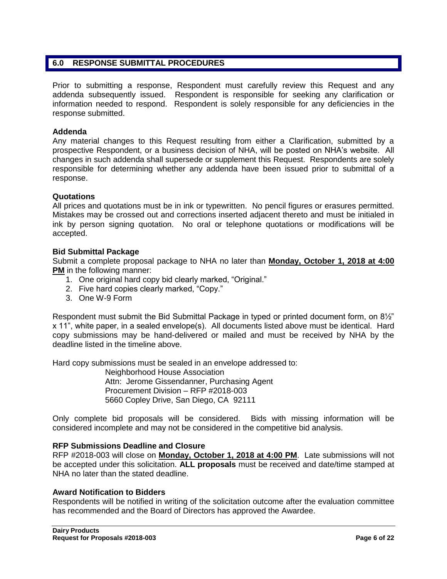## **6.0 RESPONSE SUBMITTAL PROCEDURES**

Prior to submitting a response, Respondent must carefully review this Request and any addenda subsequently issued. Respondent is responsible for seeking any clarification or information needed to respond. Respondent is solely responsible for any deficiencies in the response submitted.

#### **Addenda**

Any material changes to this Request resulting from either a Clarification, submitted by a prospective Respondent, or a business decision of NHA, will be posted on NHA's website. All changes in such addenda shall supersede or supplement this Request. Respondents are solely responsible for determining whether any addenda have been issued prior to submittal of a response.

#### **Quotations**

All prices and quotations must be in ink or typewritten. No pencil figures or erasures permitted. Mistakes may be crossed out and corrections inserted adjacent thereto and must be initialed in ink by person signing quotation. No oral or telephone quotations or modifications will be accepted.

#### **Bid Submittal Package**

Submit a complete proposal package to NHA no later than **Monday, October 1, 2018 at 4:00 PM** in the following manner:

- 1. One original hard copy bid clearly marked, "Original."
- 2. Five hard copies clearly marked, "Copy."
- 3. One W-9 Form

Respondent must submit the Bid Submittal Package in typed or printed document form, on 8½" x 11", white paper, in a sealed envelope(s). All documents listed above must be identical. Hard copy submissions may be hand-delivered or mailed and must be received by NHA by the deadline listed in the timeline above.

Hard copy submissions must be sealed in an envelope addressed to:

Neighborhood House Association Attn: Jerome Gissendanner, Purchasing Agent Procurement Division – RFP #2018-003 5660 Copley Drive, San Diego, CA 92111

Only complete bid proposals will be considered. Bids with missing information will be considered incomplete and may not be considered in the competitive bid analysis.

#### **RFP Submissions Deadline and Closure**

RFP #2018-003 will close on **Monday, October 1, 2018 at 4:00 PM**. Late submissions will not be accepted under this solicitation. **ALL proposals** must be received and date/time stamped at NHA no later than the stated deadline.

#### **Award Notification to Bidders**

Respondents will be notified in writing of the solicitation outcome after the evaluation committee has recommended and the Board of Directors has approved the Awardee.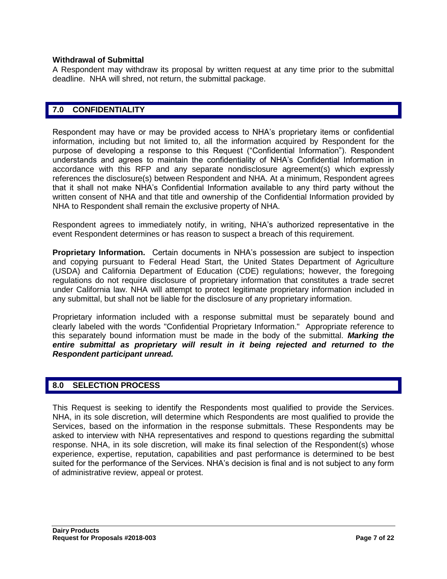#### **Withdrawal of Submittal**

A Respondent may withdraw its proposal by written request at any time prior to the submittal deadline. NHA will shred, not return, the submittal package.

#### **7.0 CONFIDENTIALITY**

Respondent may have or may be provided access to NHA's proprietary items or confidential information, including but not limited to, all the information acquired by Respondent for the purpose of developing a response to this Request ("Confidential Information"). Respondent understands and agrees to maintain the confidentiality of NHA's Confidential Information in accordance with this RFP and any separate nondisclosure agreement(s) which expressly references the disclosure(s) between Respondent and NHA. At a minimum, Respondent agrees that it shall not make NHA's Confidential Information available to any third party without the written consent of NHA and that title and ownership of the Confidential Information provided by NHA to Respondent shall remain the exclusive property of NHA.

Respondent agrees to immediately notify, in writing, NHA's authorized representative in the event Respondent determines or has reason to suspect a breach of this requirement.

**Proprietary Information.** Certain documents in NHA's possession are subject to inspection and copying pursuant to Federal Head Start, the United States Department of Agriculture (USDA) and California Department of Education (CDE) regulations; however, the foregoing regulations do not require disclosure of proprietary information that constitutes a trade secret under California law. NHA will attempt to protect legitimate proprietary information included in any submittal, but shall not be liable for the disclosure of any proprietary information.

Proprietary information included with a response submittal must be separately bound and clearly labeled with the words "Confidential Proprietary Information." Appropriate reference to this separately bound information must be made in the body of the submittal. *Marking the*  entire submittal as proprietary will result in it being rejected and returned to the *Respondent participant unread.*

#### **8.0 SELECTION PROCESS**

This Request is seeking to identify the Respondents most qualified to provide the Services. NHA, in its sole discretion, will determine which Respondents are most qualified to provide the Services, based on the information in the response submittals. These Respondents may be asked to interview with NHA representatives and respond to questions regarding the submittal response. NHA, in its sole discretion, will make its final selection of the Respondent(s) whose experience, expertise, reputation, capabilities and past performance is determined to be best suited for the performance of the Services. NHA's decision is final and is not subject to any form of administrative review, appeal or protest.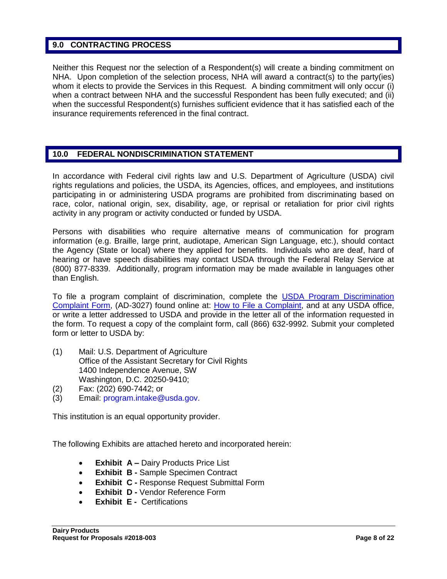#### **9.0 CONTRACTING PROCESS**

Neither this Request nor the selection of a Respondent(s) will create a binding commitment on NHA. Upon completion of the selection process, NHA will award a contract(s) to the party(ies) whom it elects to provide the Services in this Request. A binding commitment will only occur (i) when a contract between NHA and the successful Respondent has been fully executed; and (ii) when the successful Respondent(s) furnishes sufficient evidence that it has satisfied each of the insurance requirements referenced in the final contract.

## **10.0 FEDERAL NONDISCRIMINATION STATEMENT**

In accordance with Federal civil rights law and U.S. Department of Agriculture (USDA) civil rights regulations and policies, the USDA, its Agencies, offices, and employees, and institutions participating in or administering USDA programs are prohibited from discriminating based on race, color, national origin, sex, disability, age, or reprisal or retaliation for prior civil rights activity in any program or activity conducted or funded by USDA.

Persons with disabilities who require alternative means of communication for program information (e.g. Braille, large print, audiotape, American Sign Language, etc.), should contact the Agency (State or local) where they applied for benefits. Individuals who are deaf, hard of hearing or have speech disabilities may contact USDA through the Federal Relay Service at (800) 877-8339. Additionally, program information may be made available in languages other than English.

To file a program complaint of discrimination, complete the [USDA Program Discrimination](http://www.ocio.usda.gov/sites/default/files/docs/2012/Complain_combined_6_8_12.pdf)  [Complaint Form,](http://www.ocio.usda.gov/sites/default/files/docs/2012/Complain_combined_6_8_12.pdf) (AD-3027) found online at: How to [File a Complaint,](http://www.ascr.usda.gov/complaint_filing_cust.html) and at any USDA office, or write a letter addressed to USDA and provide in the letter all of the information requested in the form. To request a copy of the complaint form, call (866) 632-9992. Submit your completed form or letter to USDA by:

- (1) Mail: U.S. Department of Agriculture Office of the Assistant Secretary for Civil Rights 1400 Independence Avenue, SW Washington, D.C. 20250-9410;
- (2) Fax: (202) 690-7442; or
- (3) Email: program.intake@usda.gov.

This institution is an equal opportunity provider.

The following Exhibits are attached hereto and incorporated herein:

- **Exhibit A –** Dairy Products Price List
- **Exhibit B -** Sample Specimen Contract
- **Exhibit C -** Response Request Submittal Form
- **Exhibit D Vendor Reference Form**
- **Exhibit E -** Certifications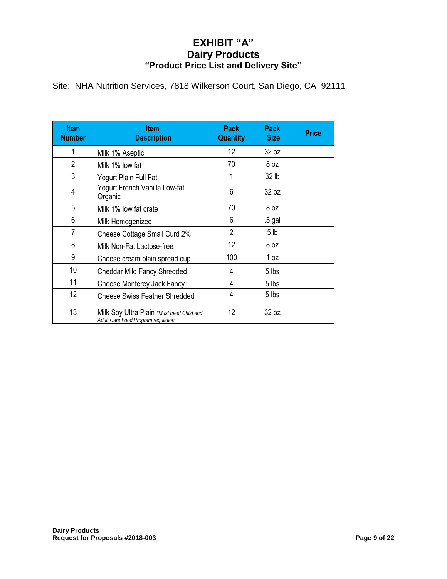# **EXHIBIT "A" Dairy Products "Product Price List and Delivery Site"**

Site: NHA Nutrition Services, 7818 Wilkerson Court, San Diego, CA 92111

| <b>Item</b><br><b>Number</b> | <b>Item</b><br><b>Description</b>                                               | <b>Pack</b><br><b>Quantity</b> | Pack<br><b>Size</b> | <b>Price</b> |
|------------------------------|---------------------------------------------------------------------------------|--------------------------------|---------------------|--------------|
| 1                            | Milk 1% Aseptic                                                                 | 12                             | 32 oz               |              |
| $\overline{2}$               | Milk 1% low fat                                                                 | 70                             | 8 oz                |              |
| 3                            | Yogurt Plain Full Fat                                                           | 1                              | 32 lb               |              |
| $\overline{4}$               | Yogurt French Vanilla Low-fat<br>Organic                                        | 6                              | 32 oz               |              |
| 5                            | Milk 1% low fat crate                                                           | 70                             | 8 oz                |              |
| 6                            | Milk Homogenized                                                                | 6                              | .5 gal              |              |
| 7                            | Cheese Cottage Small Curd 2%                                                    | $\overline{2}$                 | 5 <sub>1b</sub>     |              |
| 8                            | Milk Non-Fat Lactose-free                                                       | 12                             | 8 oz                |              |
| 9                            | Cheese cream plain spread cup                                                   | 100                            | 1 oz                |              |
| 10                           | Cheddar Mild Fancy Shredded                                                     | 4                              | 5 lbs               |              |
| 11                           | Cheese Monterey Jack Fancy                                                      | 4                              | 5 lbs               |              |
| 12 <sup>2</sup>              | <b>Cheese Swiss Feather Shredded</b>                                            | 4                              | 5 lbs               |              |
| 13                           | Milk Soy Ultra Plain *Must meet Child and<br>Adult Care Food Program regulation | 12                             | 32 oz               |              |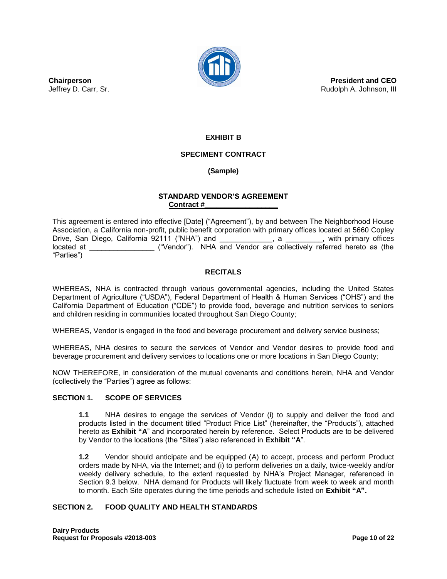

**President and CEO** Rudolph A. Johnson, III

**Chairperson** Jeffrey D. Carr, Sr.

# **EXHIBIT B**

#### **SPECIMENT CONTRACT**

#### **(Sample)**

#### **STANDARD VENDOR'S AGREEMENT Contract #\_\_\_\_\_\_\_\_\_\_\_\_\_\_\_\_\_\_**

This agreement is entered into effective [Date] ("Agreement"), by and between The Neighborhood House Association, a California non-profit, public benefit corporation with primary offices located at 5660 Copley Drive, San Diego, California 92111 ("NHA") and  $\qquad \qquad$ , a  $\qquad \qquad$ , with primary offices located at \_\_\_\_\_\_\_\_\_\_\_\_\_\_\_\_ ("Vendor"). NHA and Vendor are collectively referred hereto as (the "Parties")

#### **RECITALS**

WHEREAS, NHA is contracted through various governmental agencies, including the United States Department of Agriculture ("USDA"), Federal Department of Health & Human Services ("OHS") and the California Department of Education ("CDE") to provide food, beverage and nutrition services to seniors and children residing in communities located throughout San Diego County;

WHEREAS, Vendor is engaged in the food and beverage procurement and delivery service business;

WHEREAS, NHA desires to secure the services of Vendor and Vendor desires to provide food and beverage procurement and delivery services to locations one or more locations in San Diego County;

NOW THEREFORE, in consideration of the mutual covenants and conditions herein, NHA and Vendor (collectively the "Parties") agree as follows:

#### **SECTION 1. SCOPE OF SERVICES**

**1.1** NHA desires to engage the services of Vendor (i) to supply and deliver the food and products listed in the document titled "Product Price List" (hereinafter, the "Products"), attached hereto as **Exhibit "A**" and incorporated herein by reference. Select Products are to be delivered by Vendor to the locations (the "Sites") also referenced in **Exhibit "A**".

**1.2** Vendor should anticipate and be equipped (A) to accept, process and perform Product orders made by NHA, via the Internet; and (i) to perform deliveries on a daily, twice-weekly and/or weekly delivery schedule, to the extent requested by NHA's Project Manager, referenced in Section 9.3 below. NHA demand for Products will likely fluctuate from week to week and month to month. Each Site operates during the time periods and schedule listed on **Exhibit "A".**

#### **SECTION 2. FOOD QUALITY AND HEALTH STANDARDS**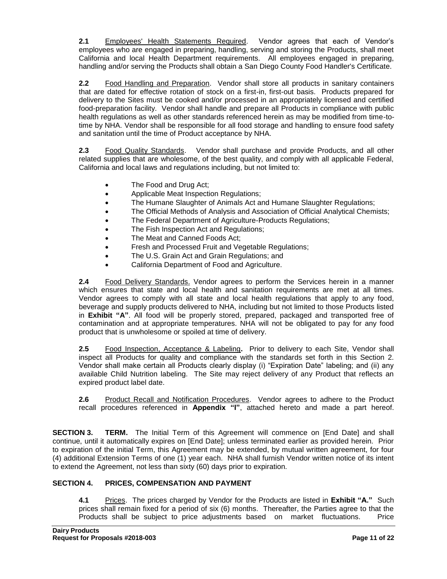**2.1** Employees' Health Statements Required. Vendor agrees that each of Vendor's employees who are engaged in preparing, handling, serving and storing the Products, shall meet California and local Health Department requirements. All employees engaged in preparing, handling and/or serving the Products shall obtain a San Diego County Food Handler's Certificate.

**2.2** Food Handling and Preparation. Vendor shall store all products in sanitary containers that are dated for effective rotation of stock on a first-in, first-out basis. Products prepared for delivery to the Sites must be cooked and/or processed in an appropriately licensed and certified food-preparation facility. Vendor shall handle and prepare all Products in compliance with public health regulations as well as other standards referenced herein as may be modified from time-totime by NHA. Vendor shall be responsible for all food storage and handling to ensure food safety and sanitation until the time of Product acceptance by NHA.

**2.3** Food Quality Standards. Vendor shall purchase and provide Products, and all other related supplies that are wholesome, of the best quality, and comply with all applicable Federal, California and local laws and regulations including, but not limited to:

- The Food and Drug Act;
- Applicable Meat Inspection Regulations;
- The Humane Slaughter of Animals Act and Humane Slaughter Regulations;
- The Official Methods of Analysis and Association of Official Analytical Chemists;
- The Federal Department of Agriculture-Products Regulations;
- The Fish Inspection Act and Regulations;
- The Meat and Canned Foods Act;
- Fresh and Processed Fruit and Vegetable Regulations;
- The U.S. Grain Act and Grain Regulations; and
- California Department of Food and Agriculture.

**2.4** Food Delivery Standards. Vendor agrees to perform the Services herein in a manner which ensures that state and local health and sanitation requirements are met at all times. Vendor agrees to comply with all state and local health regulations that apply to any food, beverage and supply products delivered to NHA, including but not limited to those Products listed in **Exhibit "A"**. All food will be properly stored, prepared, packaged and transported free of contamination and at appropriate temperatures. NHA will not be obligated to pay for any food product that is unwholesome or spoiled at time of delivery.

**2.5** Food Inspection, Acceptance & Labeling**.** Prior to delivery to each Site, Vendor shall inspect all Products for quality and compliance with the standards set forth in this Section 2. Vendor shall make certain all Products clearly display (i) "Expiration Date" labeling; and (ii) any available Child Nutrition labeling. The Site may reject delivery of any Product that reflects an expired product label date.

**2.6** Product Recall and Notification Procedures. Vendor agrees to adhere to the Product recall procedures referenced in **Appendix "I"**, attached hereto and made a part hereof.

**SECTION 3. TERM.** The Initial Term of this Agreement will commence on [End Date] and shall continue, until it automatically expires on [End Date]; unless terminated earlier as provided herein. Prior to expiration of the initial Term, this Agreement may be extended, by mutual written agreement, for four (4) additional Extension Terms of one (1) year each. NHA shall furnish Vendor written notice of its intent to extend the Agreement, not less than sixty (60) days prior to expiration.

#### **SECTION 4. PRICES, COMPENSATION AND PAYMENT**

**4.1** Prices.The prices charged by Vendor for the Products are listed in **Exhibit "A."** Such prices shall remain fixed for a period of six (6) months. Thereafter, the Parties agree to that the Products shall be subject to price adjustments based on market fluctuations. Price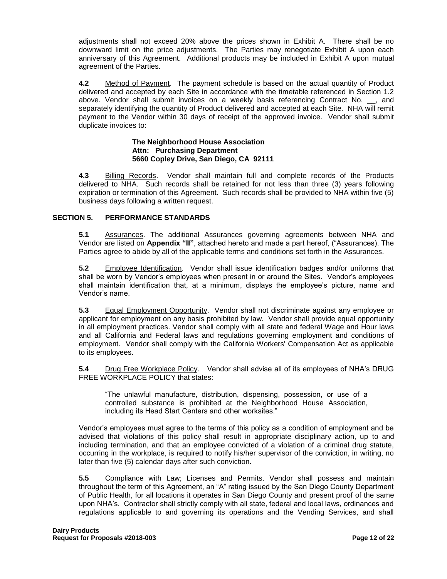adjustments shall not exceed 20% above the prices shown in Exhibit A. There shall be no downward limit on the price adjustments. The Parties may renegotiate Exhibit A upon each anniversary of this Agreement. Additional products may be included in Exhibit A upon mutual agreement of the Parties.

**4.2** Method of Payment. The payment schedule is based on the actual quantity of Product delivered and accepted by each Site in accordance with the timetable referenced in Section 1.2 above. Vendor shall submit invoices on a weekly basis referencing Contract No. \_\_, and separately identifying the quantity of Product delivered and accepted at each Site. NHA will remit payment to the Vendor within 30 days of receipt of the approved invoice. Vendor shall submit duplicate invoices to:

#### **The Neighborhood House Association Attn: Purchasing Department 5660 Copley Drive, San Diego, CA 92111**

**4.3** Billing Records. Vendor shall maintain full and complete records of the Products delivered to NHA. Such records shall be retained for not less than three (3) years following expiration or termination of this Agreement. Such records shall be provided to NHA within five (5) business days following a written request.

#### **SECTION 5. PERFORMANCE STANDARDS**

**5.1** Assurances. The additional Assurances governing agreements between NHA and Vendor are listed on **Appendix "II"**, attached hereto and made a part hereof, ("Assurances). The Parties agree to abide by all of the applicable terms and conditions set forth in the Assurances.

**5.2** Employee Identification. Vendor shall issue identification badges and/or uniforms that shall be worn by Vendor's employees when present in or around the Sites. Vendor's employees shall maintain identification that, at a minimum, displays the employee's picture, name and Vendor's name.

**5.3** Equal Employment Opportunity. Vendor shall not discriminate against any employee or applicant for employment on any basis prohibited by law. Vendor shall provide equal opportunity in all employment practices. Vendor shall comply with all state and federal Wage and Hour laws and all California and Federal laws and regulations governing employment and conditions of employment. Vendor shall comply with the California Workers' Compensation Act as applicable to its employees.

**5.4** Drug Free Workplace Policy. Vendor shall advise all of its employees of NHA's DRUG FREE WORKPLACE POLICY that states:

"The unlawful manufacture, distribution, dispensing, possession, or use of a controlled substance is prohibited at the Neighborhood House Association, including its Head Start Centers and other worksites."

Vendor's employees must agree to the terms of this policy as a condition of employment and be advised that violations of this policy shall result in appropriate disciplinary action, up to and including termination, and that an employee convicted of a violation of a criminal drug statute, occurring in the workplace, is required to notify his/her supervisor of the conviction, in writing, no later than five (5) calendar days after such conviction.

**5.5** Compliance with Law; Licenses and Permits. Vendor shall possess and maintain throughout the term of this Agreement, an "A" rating issued by the San Diego County Department of Public Health, for all locations it operates in San Diego County and present proof of the same upon NHA's. Contractor shall strictly comply with all state, federal and local laws, ordinances and regulations applicable to and governing its operations and the Vending Services, and shall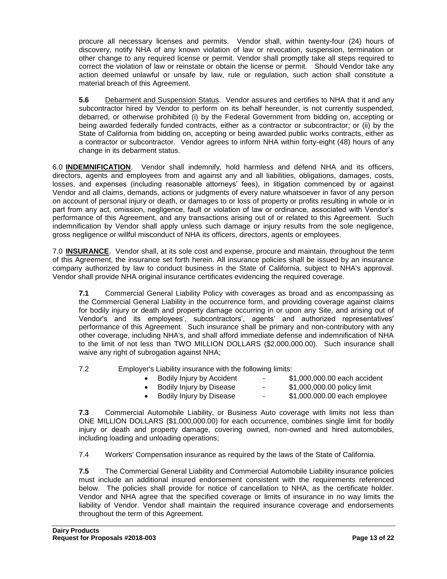procure all necessary licenses and permits. Vendor shall, within twenty-four (24) hours of discovery, notify NHA of any known violation of law or revocation, suspension, termination or other change to any required license or permit. Vendor shall promptly take all steps required to correct the violation of law or reinstate or obtain the license or permit. Should Vendor take any action deemed unlawful or unsafe by law, rule or regulation, such action shall constitute a material breach of this Agreement.

**5.6** Debarment and Suspension Status. Vendor assures and certifies to NHA that it and any subcontractor hired by Vendor to perform on its behalf hereunder, is not currently suspended, debarred, or otherwise prohibited (i) by the Federal Government from bidding on, accepting or being awarded federally funded contracts, either as a contractor or subcontractor; or (ii) by the State of California from bidding on, accepting or being awarded public works contracts, either as a contractor or subcontractor. Vendor agrees to inform NHA within forty-eight (48) hours of any change in its debarment status.

6.0 **INDEMNIFICATION**. Vendor shall indemnify, hold harmless and defend NHA and its officers, directors, agents and employees from and against any and all liabilities, obligations, damages, costs, losses, and expenses (including reasonable attorneys' fees), in litigation commenced by or against Vendor and all claims, demands, actions or judgments of every nature whatsoever in favor of any person on account of personal injury or death, or damages to or loss of property or profits resulting in whole or in part from any act, omission, negligence, fault or violation of law or ordinance, associated with Vendor's performance of this Agreement, and any transactions arising out of or related to this Agreement. Such indemnification by Vendor shall apply unless such damage or injury results from the sole negligence, gross negligence or willful misconduct of NHA its officers, directors, agents or employees.

7.0 **INSURANCE**. Vendor shall, at its sole cost and expense, procure and maintain, throughout the term of this Agreement, the insurance set forth herein. All insurance policies shall be issued by an insurance company authorized by law to conduct business in the State of California, subject to NHA's approval. Vendor shall provide NHA original insurance certificates evidencing the required coverage.

**7.1** Commercial General Liability Policy with coverages as broad and as encompassing as the Commercial General Liability in the occurrence form, and providing coverage against claims for bodily injury or death and property damage occurring in or upon any Site, and arising out of Vendor's and its employees', subcontractors', agents' and authorized representatives' performance of this Agreement. Such insurance shall be primary and non-contributory with any other coverage, including NHA's, and shall afford immediate defense and indemnification of NHA to the limit of not less than TWO MILLION DOLLARS (\$2,000,000.00). Such insurance shall waive any right of subrogation against NHA;

7.2 Employer's Liability insurance with the following limits:

| Bodily Injury by Accident | $\sim$ 100 $\mu$ | \$1,000,000.00 each accident |
|---------------------------|------------------|------------------------------|
| Bodily Injury by Disease  | ٠.               | \$1,000,000.00 policy limit  |
| Bodily Injury by Disease  | ٠.               | \$1,000.000.00 each employee |
|                           |                  |                              |

**7.3** Commercial Automobile Liability, or Business Auto coverage with limits not less than ONE MILLION DOLLARS (\$1,000,000.00) for each occurrence, combines single limit for bodily injury or death and property damage, covering owned, non-owned and hired automobiles, including loading and unloading operations;

7.4 Workers' Compensation insurance as required by the laws of the State of California.

**7.5** The Commercial General Liability and Commercial Automobile Liability insurance policies must include an additional insured endorsement consistent with the requirements referenced below. The policies shall provide for notice of cancellation to NHA, as the certificate holder. Vendor and NHA agree that the specified coverage or limits of insurance in no way limits the liability of Vendor. Vendor shall maintain the required insurance coverage and endorsements throughout the term of this Agreement.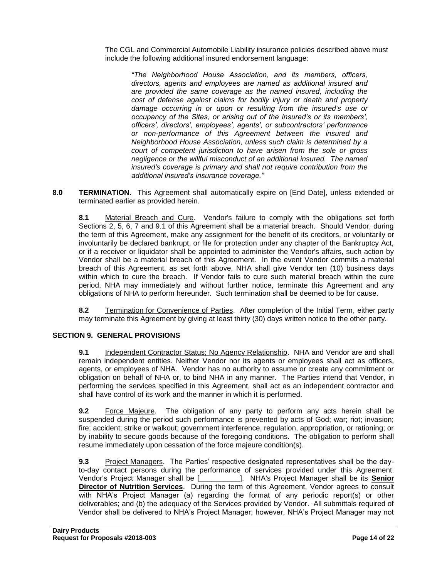The CGL and Commercial Automobile Liability insurance policies described above must include the following additional insured endorsement language:

*"The Neighborhood House Association, and its members, officers, directors, agents and employees are named as additional insured and are provided the same coverage as the named insured, including the cost of defense against claims for bodily injury or death and property damage occurring in or upon or resulting from the insured's use or occupancy of the Sites, or arising out of the insured's or its members', officers', directors', employees', agents', or subcontractors' performance or non-performance of this Agreement between the insured and Neighborhood House Association, unless such claim is determined by a court of competent jurisdiction to have arisen from the sole or gross negligence or the willful misconduct of an additional insured. The named insured's coverage is primary and shall not require contribution from the additional insured's insurance coverage."*

**8.0 TERMINATION.** This Agreement shall automatically expire on [End Date], unless extended or terminated earlier as provided herein.

**8.1** Material Breach and Cure. Vendor's failure to comply with the obligations set forth Sections 2, 5, 6, 7 and 9.1 of this Agreement shall be a material breach. Should Vendor, during the term of this Agreement, make any assignment for the benefit of its creditors, or voluntarily or involuntarily be declared bankrupt, or file for protection under any chapter of the Bankruptcy Act, or if a receiver or liquidator shall be appointed to administer the Vendor's affairs, such action by Vendor shall be a material breach of this Agreement. In the event Vendor commits a material breach of this Agreement, as set forth above, NHA shall give Vendor ten (10) business days within which to cure the breach. If Vendor fails to cure such material breach within the cure period, NHA may immediately and without further notice, terminate this Agreement and any obligations of NHA to perform hereunder. Such termination shall be deemed to be for cause.

**8.2** Termination for Convenience of Parties. After completion of the Initial Term, either party may terminate this Agreement by giving at least thirty (30) days written notice to the other party.

#### **SECTION 9. GENERAL PROVISIONS**

**9.1** Independent Contractor Status; No Agency Relationship. NHA and Vendor are and shall remain independent entities. Neither Vendor nor its agents or employees shall act as officers, agents, or employees of NHA. Vendor has no authority to assume or create any commitment or obligation on behalf of NHA or, to bind NHA in any manner. The Parties intend that Vendor, in performing the services specified in this Agreement, shall act as an independent contractor and shall have control of its work and the manner in which it is performed.

**9.2** Force Majeure. The obligation of any party to perform any acts herein shall be suspended during the period such performance is prevented by acts of God; war; riot; invasion; fire; accident; strike or walkout; government interference, regulation, appropriation, or rationing; or by inability to secure goods because of the foregoing conditions. The obligation to perform shall resume immediately upon cessation of the force majeure condition(s).

**9.3** Project Managers. The Parties' respective designated representatives shall be the dayto-day contact persons during the performance of services provided under this Agreement. Vendor's Project Manager shall be [\_\_\_\_\_\_\_\_\_\_]. NHA's Project Manager shall be its **Senior Director of Nutrition Services**. During the term of this Agreement, Vendor agrees to consult with NHA's Project Manager (a) regarding the format of any periodic report(s) or other deliverables; and (b) the adequacy of the Services provided by Vendor. All submittals required of Vendor shall be delivered to NHA's Project Manager; however, NHA's Project Manager may not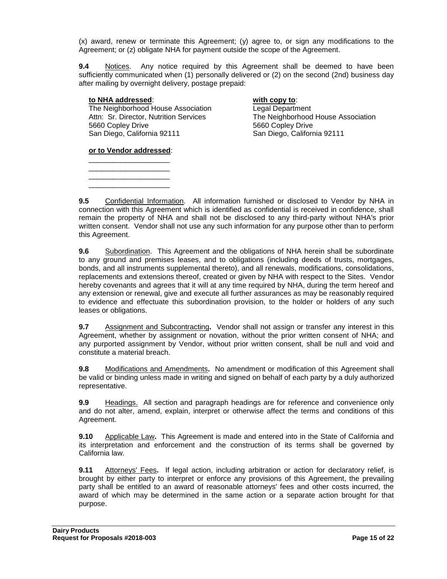(x) award, renew or terminate this Agreement; (y) agree to, or sign any modifications to the Agreement; or (z) obligate NHA for payment outside the scope of the Agreement.

**9.4** Notices. Any notice required by this Agreement shall be deemed to have been sufficiently communicated when (1) personally delivered or (2) on the second (2nd) business day after mailing by overnight delivery, postage prepaid:

#### **to NHA addressed**: **with copy to**:

The Neighborhood House Association<br>
Attn: Sr. Director, Nutrition Services<br>
The Neighborhood 5660 Copley Drive 5660 Copley Drive San Diego, California 92111 San Diego, California 92111

The Neighborhood House Association

**or to Vendor addressed**: \_\_\_\_\_\_\_\_\_\_\_\_\_\_\_\_\_\_\_\_

\_\_\_\_\_\_\_\_\_\_\_\_\_\_\_\_\_\_\_\_ \_\_\_\_\_\_\_\_\_\_\_\_\_\_\_\_\_\_\_\_ \_\_\_\_\_\_\_\_\_\_\_\_\_\_\_\_\_\_\_\_

**9.5** Confidential Information. All information furnished or disclosed to Vendor by NHA in connection with this Agreement which is identified as confidential is received in confidence, shall remain the property of NHA and shall not be disclosed to any third-party without NHA's prior written consent. Vendor shall not use any such information for any purpose other than to perform this Agreement.

**9.6** Subordination. This Agreement and the obligations of NHA herein shall be subordinate to any ground and premises leases, and to obligations (including deeds of trusts, mortgages, bonds, and all instruments supplemental thereto), and all renewals, modifications, consolidations, replacements and extensions thereof, created or given by NHA with respect to the Sites. Vendor hereby covenants and agrees that it will at any time required by NHA, during the term hereof and any extension or renewal, give and execute all further assurances as may be reasonably required to evidence and effectuate this subordination provision, to the holder or holders of any such leases or obligations.

**9.7** Assignment and Subcontracting**.** Vendor shall not assign or transfer any interest in this Agreement, whether by assignment or novation, without the prior written consent of NHA; and any purported assignment by Vendor, without prior written consent, shall be null and void and constitute a material breach.

**9.8** Modifications and Amendments**.** No amendment or modification of this Agreement shall be valid or binding unless made in writing and signed on behalf of each party by a duly authorized representative.

**9.9** Headings. All section and paragraph headings are for reference and convenience only and do not alter, amend, explain, interpret or otherwise affect the terms and conditions of this Agreement.

**9.10** Applicable Law**.** This Agreement is made and entered into in the State of California and its interpretation and enforcement and the construction of its terms shall be governed by California law.

**9.11** Attorneys' Fees**.** If legal action, including arbitration or action for declaratory relief, is brought by either party to interpret or enforce any provisions of this Agreement, the prevailing party shall be entitled to an award of reasonable attorneys' fees and other costs incurred, the award of which may be determined in the same action or a separate action brought for that purpose.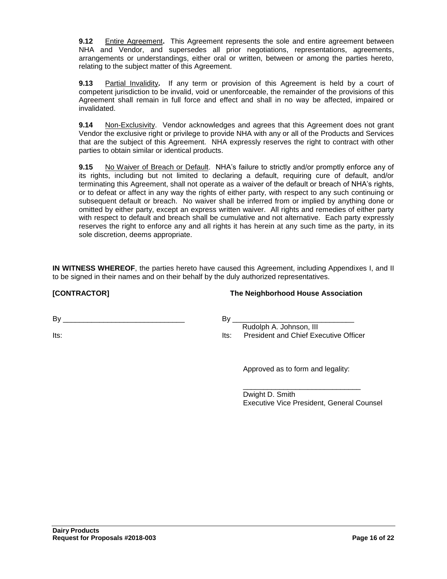**9.12** Entire Agreement**.** This Agreement represents the sole and entire agreement between NHA and Vendor, and supersedes all prior negotiations, representations, agreements, arrangements or understandings, either oral or written, between or among the parties hereto, relating to the subject matter of this Agreement.

**9.13** Partial Invalidity**.** If any term or provision of this Agreement is held by a court of competent jurisdiction to be invalid, void or unenforceable, the remainder of the provisions of this Agreement shall remain in full force and effect and shall in no way be affected, impaired or invalidated.

**9.14** Non-Exclusivity. Vendor acknowledges and agrees that this Agreement does not grant Vendor the exclusive right or privilege to provide NHA with any or all of the Products and Services that are the subject of this Agreement. NHA expressly reserves the right to contract with other parties to obtain similar or identical products.

**9.15** No Waiver of Breach or Default. NHA's failure to strictly and/or promptly enforce any of its rights, including but not limited to declaring a default, requiring cure of default, and/or terminating this Agreement, shall not operate as a waiver of the default or breach of NHA's rights, or to defeat or affect in any way the rights of either party, with respect to any such continuing or subsequent default or breach. No waiver shall be inferred from or implied by anything done or omitted by either party, except an express written waiver. All rights and remedies of either party with respect to default and breach shall be cumulative and not alternative. Each party expressly reserves the right to enforce any and all rights it has herein at any such time as the party, in its sole discretion, deems appropriate.

**IN WITNESS WHEREOF**, the parties hereto have caused this Agreement, including Appendixes I, and II to be signed in their names and on their behalf by the duly authorized representatives.

**[CONTRACTOR] The Neighborhood House Association**

 $\mathsf{By}$ 

Its:

#### By \_\_\_\_\_\_\_\_\_\_\_\_\_\_\_\_\_\_\_\_\_\_\_\_\_\_\_\_\_\_

 Rudolph A. Johnson, III Its: President and Chief Executive Officer

Approved as to form and legality:

\_\_\_\_\_\_\_\_\_\_\_\_\_\_\_\_\_\_\_\_\_\_\_\_\_\_\_\_\_

Dwight D. Smith Executive Vice President, General Counsel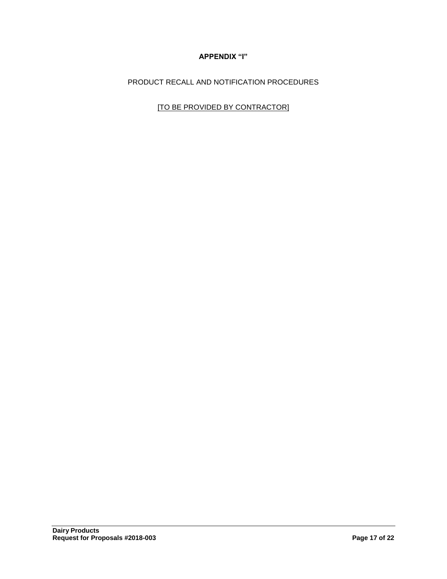## **APPENDIX "I"**

PRODUCT RECALL AND NOTIFICATION PROCEDURES

[TO BE PROVIDED BY CONTRACTOR]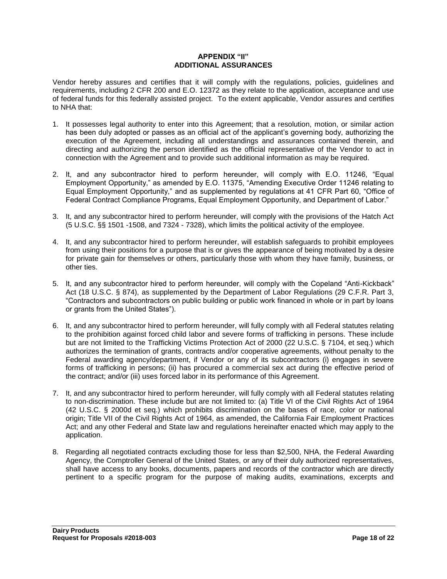#### **APPENDIX "II" ADDITIONAL ASSURANCES**

Vendor hereby assures and certifies that it will comply with the regulations, policies, guidelines and requirements, including 2 CFR 200 and E.O. 12372 as they relate to the application, acceptance and use of federal funds for this federally assisted project. To the extent applicable, Vendor assures and certifies to NHA that:

- 1. It possesses legal authority to enter into this Agreement; that a resolution, motion, or similar action has been duly adopted or passes as an official act of the applicant's governing body, authorizing the execution of the Agreement, including all understandings and assurances contained therein, and directing and authorizing the person identified as the official representative of the Vendor to act in connection with the Agreement and to provide such additional information as may be required.
- 2. It, and any subcontractor hired to perform hereunder, will comply with E.O. 11246, "Equal Employment Opportunity," as amended by E.O. 11375, "Amending Executive Order 11246 relating to Equal Employment Opportunity," and as supplemented by regulations at 41 CFR Part 60, "Office of Federal Contract Compliance Programs, Equal Employment Opportunity, and Department of Labor."
- 3. It, and any subcontractor hired to perform hereunder, will comply with the provisions of the Hatch Act (5 U.S.C. §§ 1501 -1508, and 7324 - 7328), which limits the political activity of the employee.
- 4. It, and any subcontractor hired to perform hereunder, will establish safeguards to prohibit employees from using their positions for a purpose that is or gives the appearance of being motivated by a desire for private gain for themselves or others, particularly those with whom they have family, business, or other ties.
- 5. It, and any subcontractor hired to perform hereunder, will comply with the Copeland "Anti-Kickback" Act (18 U.S.C. § 874), as supplemented by the Department of Labor Regulations (29 C.F.R. Part 3, "Contractors and subcontractors on public building or public work financed in whole or in part by loans or grants from the United States").
- 6. It, and any subcontractor hired to perform hereunder, will fully comply with all Federal statutes relating to the prohibition against forced child labor and severe forms of trafficking in persons. These include but are not limited to the Trafficking Victims Protection Act of 2000 (22 U.S.C. § 7104, et seq.) which authorizes the termination of grants, contracts and/or cooperative agreements, without penalty to the Federal awarding agency/department, if Vendor or any of its subcontractors (i) engages in severe forms of trafficking in persons; (ii) has procured a commercial sex act during the effective period of the contract; and/or (iii) uses forced labor in its performance of this Agreement.
- 7. It, and any subcontractor hired to perform hereunder, will fully comply with all Federal statutes relating to non-discrimination. These include but are not limited to: (a) Title VI of the Civil Rights Act of 1964 (42 U.S.C. § 2000d et seq.) which prohibits discrimination on the bases of race, color or national origin; Title VII of the Civil Rights Act of 1964, as amended, the California Fair Employment Practices Act; and any other Federal and State law and regulations hereinafter enacted which may apply to the application.
- 8. Regarding all negotiated contracts excluding those for less than \$2,500, NHA, the Federal Awarding Agency, the Comptroller General of the United States, or any of their duly authorized representatives, shall have access to any books, documents, papers and records of the contractor which are directly pertinent to a specific program for the purpose of making audits, examinations, excerpts and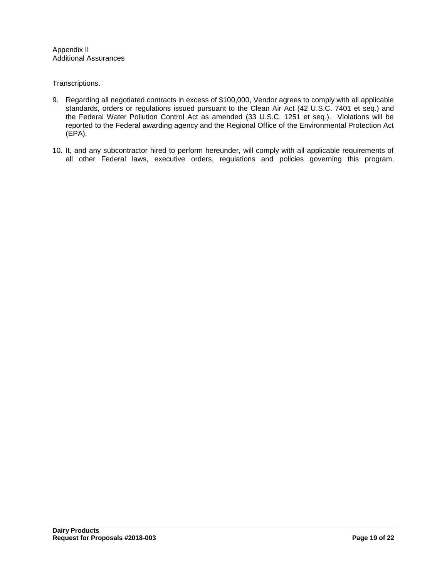Appendix II Additional Assurances

Transcriptions.

- 9. Regarding all negotiated contracts in excess of \$100,000, Vendor agrees to comply with all applicable standards, orders or regulations issued pursuant to the Clean Air Act (42 U.S.C. 7401 et seq.) and the Federal Water Pollution Control Act as amended (33 U.S.C. 1251 et seq.). Violations will be reported to the Federal awarding agency and the Regional Office of the Environmental Protection Act (EPA).
- 10. It, and any subcontractor hired to perform hereunder, will comply with all applicable requirements of all other Federal laws, executive orders, regulations and policies governing this program.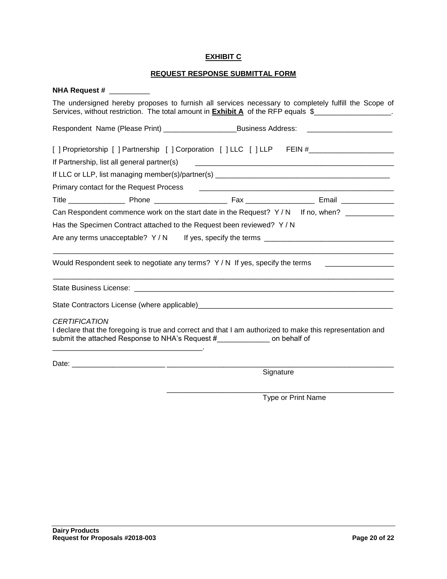#### **EXHIBIT C**

## **REQUEST RESPONSE SUBMITTAL FORM**

| <b>NHA Request #</b>                                                                                                                                                                                                                                                                  |  |  |  |
|---------------------------------------------------------------------------------------------------------------------------------------------------------------------------------------------------------------------------------------------------------------------------------------|--|--|--|
| The undersigned hereby proposes to furnish all services necessary to completely fulfill the Scope of<br>Services, without restriction. The total amount in <b>Exhibit A</b> of the RFP equals \$                                                                                      |  |  |  |
| Respondent Name (Please Print) __________________________________Business Address: __________________________                                                                                                                                                                         |  |  |  |
| [ ] Proprietorship [ ] Partnership [ ] Corporation [ ] LLC [ ] LLP FEIN #__________________________                                                                                                                                                                                   |  |  |  |
| If Partnership, list all general partner(s)                                                                                                                                                                                                                                           |  |  |  |
|                                                                                                                                                                                                                                                                                       |  |  |  |
| Primary contact for the Request Process                                                                                                                                                                                                                                               |  |  |  |
|                                                                                                                                                                                                                                                                                       |  |  |  |
| Can Respondent commence work on the start date in the Request? Y/N If no, when?                                                                                                                                                                                                       |  |  |  |
| Has the Specimen Contract attached to the Request been reviewed? Y / N<br>Are any terms unacceptable? $Y/N$ If yes, specify the terms                                                                                                                                                 |  |  |  |
|                                                                                                                                                                                                                                                                                       |  |  |  |
|                                                                                                                                                                                                                                                                                       |  |  |  |
|                                                                                                                                                                                                                                                                                       |  |  |  |
| <b>CERTIFICATION</b><br>I declare that the foregoing is true and correct and that I am authorized to make this representation and<br>submit the attached Response to NHA's Request # The Connect on behalf of<br><u> 1989 - Johann Barn, mars an t-Amerikaansk politiker (* 1908)</u> |  |  |  |
|                                                                                                                                                                                                                                                                                       |  |  |  |
| Signature                                                                                                                                                                                                                                                                             |  |  |  |

Type or Print Name

\_\_\_\_\_\_\_\_\_\_\_\_\_\_\_\_\_\_\_\_\_\_\_\_\_\_\_\_\_\_\_\_\_\_\_\_\_\_\_\_\_\_\_\_\_\_\_\_\_\_\_\_\_\_\_\_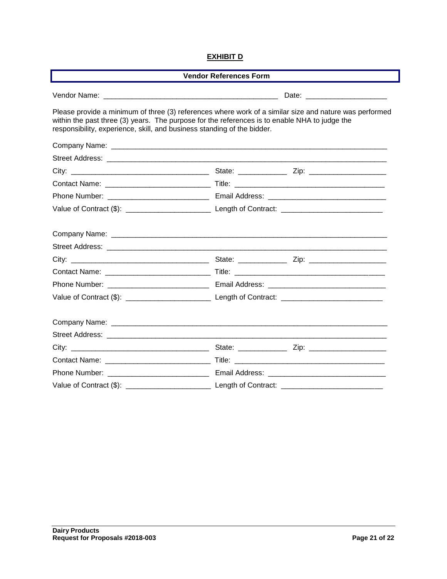#### **EXHIBIT D**

| <b>Vendor References Form</b>                                                                                                                                                                                                                                                      |  |  |  |  |
|------------------------------------------------------------------------------------------------------------------------------------------------------------------------------------------------------------------------------------------------------------------------------------|--|--|--|--|
|                                                                                                                                                                                                                                                                                    |  |  |  |  |
| Please provide a minimum of three (3) references where work of a similar size and nature was performed<br>within the past three (3) years. The purpose for the references is to enable NHA to judge the<br>responsibility, experience, skill, and business standing of the bidder. |  |  |  |  |
|                                                                                                                                                                                                                                                                                    |  |  |  |  |
|                                                                                                                                                                                                                                                                                    |  |  |  |  |
|                                                                                                                                                                                                                                                                                    |  |  |  |  |
|                                                                                                                                                                                                                                                                                    |  |  |  |  |
|                                                                                                                                                                                                                                                                                    |  |  |  |  |
|                                                                                                                                                                                                                                                                                    |  |  |  |  |
|                                                                                                                                                                                                                                                                                    |  |  |  |  |
|                                                                                                                                                                                                                                                                                    |  |  |  |  |
|                                                                                                                                                                                                                                                                                    |  |  |  |  |
|                                                                                                                                                                                                                                                                                    |  |  |  |  |
|                                                                                                                                                                                                                                                                                    |  |  |  |  |
|                                                                                                                                                                                                                                                                                    |  |  |  |  |
|                                                                                                                                                                                                                                                                                    |  |  |  |  |
|                                                                                                                                                                                                                                                                                    |  |  |  |  |
|                                                                                                                                                                                                                                                                                    |  |  |  |  |
|                                                                                                                                                                                                                                                                                    |  |  |  |  |
|                                                                                                                                                                                                                                                                                    |  |  |  |  |
|                                                                                                                                                                                                                                                                                    |  |  |  |  |